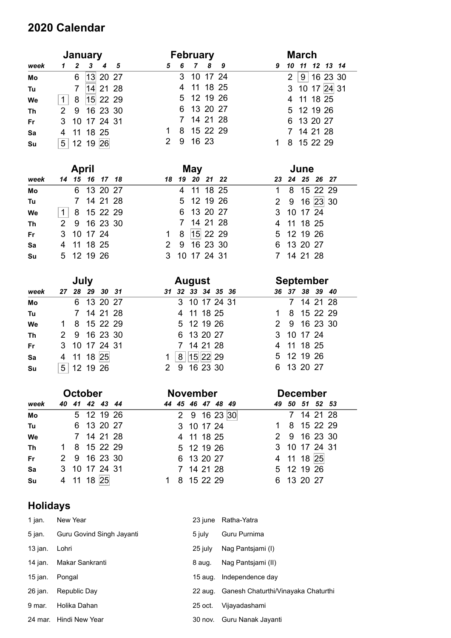## **2020 Calendar**

|           | <b>January</b>                                                    | <b>February</b>                       | <b>March</b>                                       |
|-----------|-------------------------------------------------------------------|---------------------------------------|----------------------------------------------------|
| week      | $\boldsymbol{\cdot}$<br>$\boldsymbol{4}$<br>- 5<br>$\overline{2}$ | - 9<br>$\overline{7}$<br>-8<br>6<br>5 | 10 11 12 13 14<br>9                                |
| Mo        | $ 13 $ 20 27<br>6                                                 | 3 10 17 24                            | 16 23 30<br>9 <sup>1</sup><br>$\mathbf{2}^{\circ}$ |
| Tu        | $ 14 $ 21 28<br>$7\phantom{.}$                                    | 4 11 18 25                            | 3 10 17 24 31                                      |
| We        | $ 15 $ 22 29<br>8<br>$1\vert$                                     | 5 12 19 26                            | 4 11 18 25                                         |
| <b>Th</b> | 2 9 16 23 30                                                      | 6 13 20 27                            | 5 12 19 26                                         |
| <b>Fr</b> | 3 10 17 24 31                                                     | 7 14 21 28                            | 6 13 20 27                                         |
| Sa        | 4 11 18 25                                                        | 15 22 29<br>8                         | 7 14 21 28                                         |
| Su        | 12 19 26<br>5 <sup>1</sup>                                        | 16 23<br>9<br>2                       | 8 15 22 29                                         |

|           |                | April                                  |  |            |  | May                                    |  | June                   |
|-----------|----------------|----------------------------------------|--|------------|--|----------------------------------------|--|------------------------|
| week      | 14 15 16 17 18 |                                        |  |            |  | 18 19 20 21 22                         |  | 23 24 25 26 27         |
| Mo        |                | 6 13 20 27                             |  |            |  | 4 11 18 25                             |  | 1 8 15 22 29           |
| Tu        |                |                                        |  | 7 14 21 28 |  | 5 12 19 26                             |  | $2 \t9 \t16 \t23 \t30$ |
| We        |                | $1 \vert 8 \vert 15 \vert 22 \vert 29$ |  |            |  | 6 13 20 27                             |  | 3 10 17 24             |
| Th        |                | 2 9 16 23 30                           |  |            |  | 7 14 21 28                             |  | 4 11 18 25             |
| <b>Fr</b> |                | 3 10 17 24                             |  |            |  | $1 \quad 8 \quad 15 \quad 22 \quad 29$ |  | 5 12 19 26             |
| Sa        |                | 4 11 18 25                             |  |            |  | 2 9 16 23 30                           |  | 6 13 20 27             |
| Su        |                | 5 12 19 26                             |  |            |  | 3 10 17 24 31                          |  | 7 14 21 28             |

| July      |                |               |  |  |            | August                     | <b>September</b> |                |            |  |  |  |
|-----------|----------------|---------------|--|--|------------|----------------------------|------------------|----------------|------------|--|--|--|
| week      | 27 28 29 30 31 |               |  |  |            | 31 32 33 34 35 36          |                  | 36 37 38 39 40 |            |  |  |  |
| Mo        |                | 6 13 20 27    |  |  |            | 3 10 17 24 31              |                  |                | 7 14 21 28 |  |  |  |
| Tu        |                |               |  |  | 7 14 21 28 | 4 11 18 25                 |                  | 1 8 15 22 29   |            |  |  |  |
| We        |                | 1 8 15 22 29  |  |  |            | 5 12 19 26                 |                  | 2 9 16 23 30   |            |  |  |  |
| Th        |                | 2 9 16 23 30  |  |  |            | 6 13 20 27                 |                  | 3 10 17 24     |            |  |  |  |
| <b>Fr</b> |                | 3 10 17 24 31 |  |  |            | 7 14 21 28                 |                  | 4 11 18 25     |            |  |  |  |
| Sa        |                | 4 11 18 25    |  |  |            | 15 22 29<br>8 <sup>1</sup> |                  | 5 12 19 26     |            |  |  |  |
| Su        |                | $5$ 12 19 26  |  |  |            | 2 9 16 23 30               |                  | 6 13 20 27     |            |  |  |  |

| <b>October</b> |  |                |  |  |            | November          | <b>December</b> |  |            |                |  |  |
|----------------|--|----------------|--|--|------------|-------------------|-----------------|--|------------|----------------|--|--|
| week           |  | 40 41 42 43 44 |  |  |            | 44 45 46 47 48 49 |                 |  |            | 49 50 51 52 53 |  |  |
| Mo             |  |                |  |  | 5 12 19 26 | 2 9 16 23 30      |                 |  |            | 7 14 21 28     |  |  |
| Tu             |  | 6 13 20 27     |  |  |            | 3 10 17 24        |                 |  |            | 1 8 15 22 29   |  |  |
| We             |  |                |  |  | 7 14 21 28 | 4 11 18 25        |                 |  |            | 2 9 16 23 30   |  |  |
| <b>Th</b>      |  | 1 8 15 22 29   |  |  |            | 5 12 19 26        |                 |  |            | 3 10 17 24 31  |  |  |
| <b>Fr</b>      |  | 2 9 16 23 30   |  |  |            | 6 13 20 27        |                 |  |            | 4 11 18 25     |  |  |
| Sa             |  | 3 10 17 24 31  |  |  |            | 7 14 21 28        |                 |  | 5 12 19 26 |                |  |  |
| Su             |  | 4 11 18 25     |  |  |            | 8 15 22 29        |                 |  | 6 13 20 27 |                |  |  |

## **Holidays**

| 1 jan.  | New Year                  | 23 june | Ratha-Yatra                                 |
|---------|---------------------------|---------|---------------------------------------------|
| 5 jan.  | Guru Govind Singh Jayanti | 5 july  | Guru Purnima                                |
| 13 jan. | Lohri                     | 25 july | Nag Pantsjami (I)                           |
| 14 jan. | Makar Sankranti           | 8 aug.  | Nag Pantsjami (II)                          |
| 15 jan. | Pongal                    | 15 aug. | Independence day                            |
| 26 jan. | Republic Day              |         | 22 aug. Ganesh Chaturthi/Vinayaka Chaturthi |
| 9 mar.  | Holika Dahan              | 25 oct. | Vijayadashami                               |
| 24 mar. | Hindi New Year            | 30 nov. | Guru Nanak Jayanti                          |
|         |                           |         |                                             |